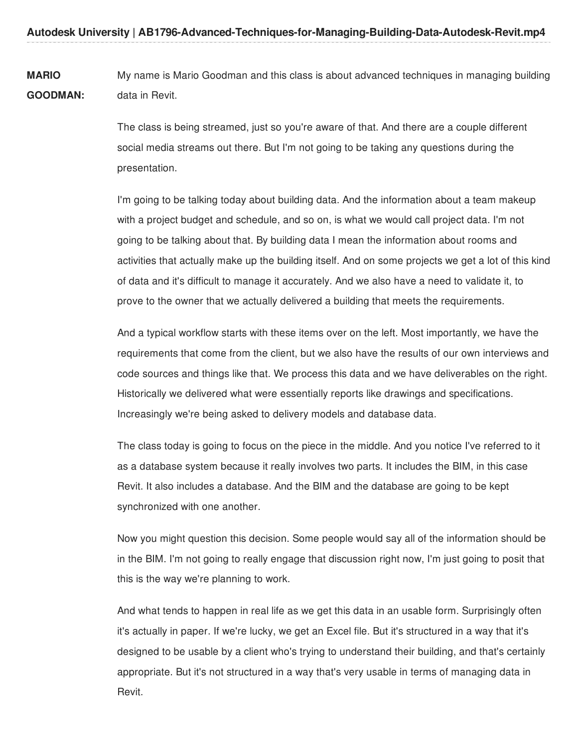**MARIO GOODMAN:** My name is Mario Goodman and this class is about advanced techniques in managing building data in Revit.

> The class is being streamed, just so you're aware of that. And there are a couple different social media streams out there. But I'm not going to be taking any questions during the presentation.

I'm going to be talking today about building data. And the information about a team makeup with a project budget and schedule, and so on, is what we would call project data. I'm not going to be talking about that. By building data I mean the information about rooms and activities that actually make up the building itself. And on some projects we get a lot of this kind of data and it's difficult to manage it accurately. And we also have a need to validate it, to prove to the owner that we actually delivered a building that meets the requirements.

And a typical workflow starts with these items over on the left. Most importantly, we have the requirements that come from the client, but we also have the results of our own interviews and code sources and things like that. We process this data and we have deliverables on the right. Historically we delivered what were essentially reports like drawings and specifications. Increasingly we're being asked to delivery models and database data.

The class today is going to focus on the piece in the middle. And you notice I've referred to it as a database system because it really involves two parts. It includes the BIM, in this case Revit. It also includes a database. And the BIM and the database are going to be kept synchronized with one another.

Now you might question this decision. Some people would say all of the information should be in the BIM. I'm not going to really engage that discussion right now, I'm just going to posit that this is the way we're planning to work.

And what tends to happen in real life as we get this data in an usable form. Surprisingly often it's actually in paper. If we're lucky, we get an Excel file. But it's structured in a way that it's designed to be usable by a client who's trying to understand their building, and that's certainly appropriate. But it's not structured in a way that's very usable in terms of managing data in Revit.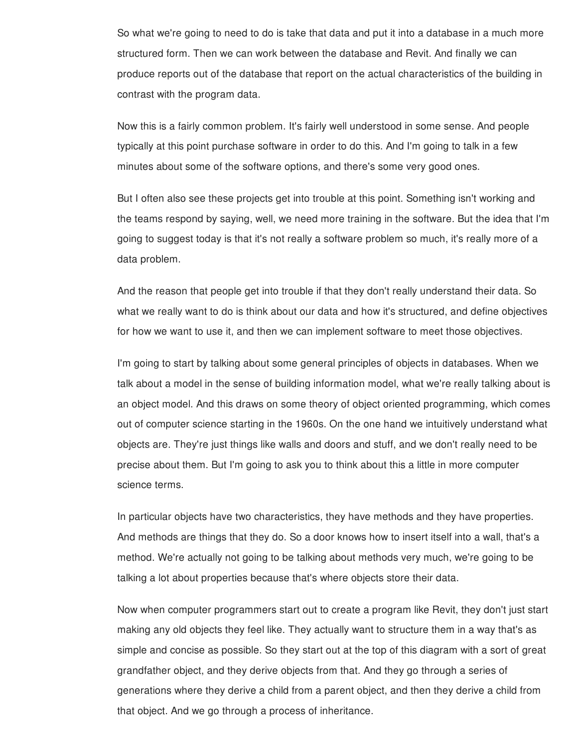So what we're going to need to do is take that data and put it into a database in a much more structured form. Then we can work between the database and Revit. And finally we can produce reports out of the database that report on the actual characteristics of the building in contrast with the program data.

Now this is a fairly common problem. It's fairly well understood in some sense. And people typically at this point purchase software in order to do this. And I'm going to talk in a few minutes about some of the software options, and there's some very good ones.

But I often also see these projects get into trouble at this point. Something isn't working and the teams respond by saying, well, we need more training in the software. But the idea that I'm going to suggest today is that it's not really a software problem so much, it's really more of a data problem.

And the reason that people get into trouble if that they don't really understand their data. So what we really want to do is think about our data and how it's structured, and define objectives for how we want to use it, and then we can implement software to meet those objectives.

I'm going to start by talking about some general principles of objects in databases. When we talk about a model in the sense of building information model, what we're really talking about is an object model. And this draws on some theory of object oriented programming, which comes out of computer science starting in the 1960s. On the one hand we intuitively understand what objects are. They're just things like walls and doors and stuff, and we don't really need to be precise about them. But I'm going to ask you to think about this a little in more computer science terms.

In particular objects have two characteristics, they have methods and they have properties. And methods are things that they do. So a door knows how to insert itself into a wall, that's a method. We're actually not going to be talking about methods very much, we're going to be talking a lot about properties because that's where objects store their data.

Now when computer programmers start out to create a program like Revit, they don't just start making any old objects they feel like. They actually want to structure them in a way that's as simple and concise as possible. So they start out at the top of this diagram with a sort of great grandfather object, and they derive objects from that. And they go through a series of generations where they derive a child from a parent object, and then they derive a child from that object. And we go through a process of inheritance.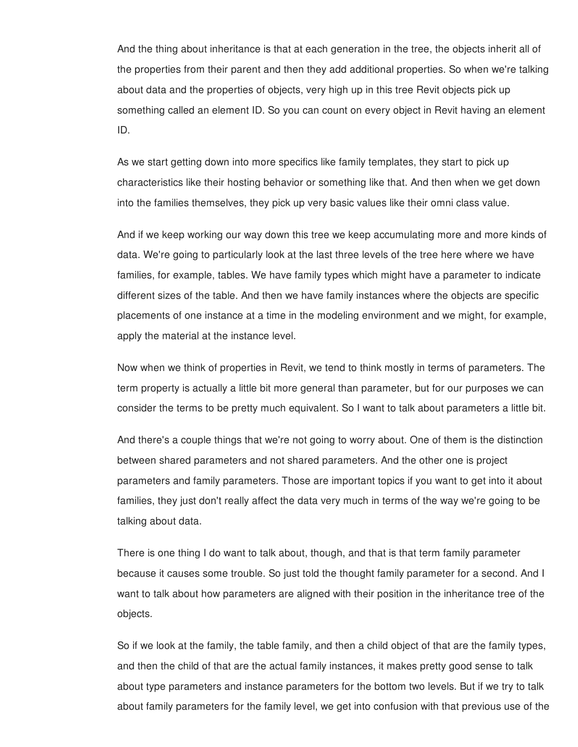And the thing about inheritance is that at each generation in the tree, the objects inherit all of the properties from their parent and then they add additional properties. So when we're talking about data and the properties of objects, very high up in this tree Revit objects pick up something called an element ID. So you can count on every object in Revit having an element ID.

As we start getting down into more specifics like family templates, they start to pick up characteristics like their hosting behavior or something like that. And then when we get down into the families themselves, they pick up very basic values like their omni class value.

And if we keep working our way down this tree we keep accumulating more and more kinds of data. We're going to particularly look at the last three levels of the tree here where we have families, for example, tables. We have family types which might have a parameter to indicate different sizes of the table. And then we have family instances where the objects are specific placements of one instance at a time in the modeling environment and we might, for example, apply the material at the instance level.

Now when we think of properties in Revit, we tend to think mostly in terms of parameters. The term property is actually a little bit more general than parameter, but for our purposes we can consider the terms to be pretty much equivalent. So I want to talk about parameters a little bit.

And there's a couple things that we're not going to worry about. One of them is the distinction between shared parameters and not shared parameters. And the other one is project parameters and family parameters. Those are important topics if you want to get into it about families, they just don't really affect the data very much in terms of the way we're going to be talking about data.

There is one thing I do want to talk about, though, and that is that term family parameter because it causes some trouble. So just told the thought family parameter for a second. And I want to talk about how parameters are aligned with their position in the inheritance tree of the objects.

So if we look at the family, the table family, and then a child object of that are the family types, and then the child of that are the actual family instances, it makes pretty good sense to talk about type parameters and instance parameters for the bottom two levels. But if we try to talk about family parameters for the family level, we get into confusion with that previous use of the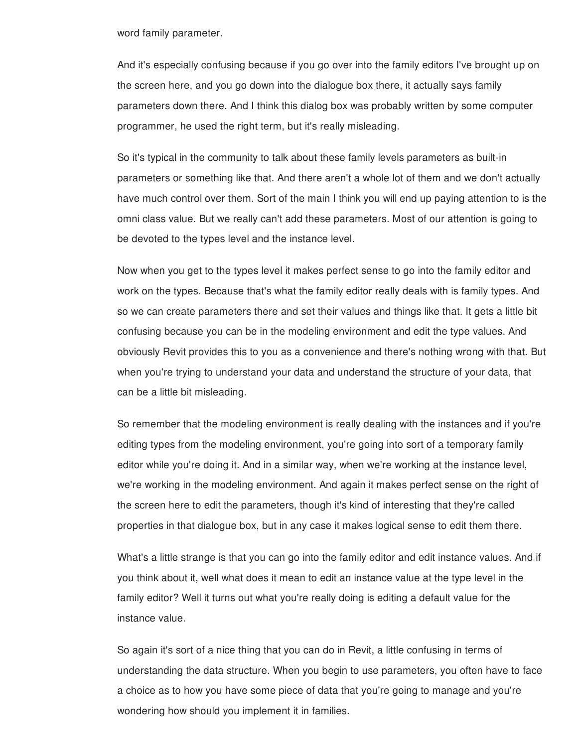word family parameter.

And it's especially confusing because if you go over into the family editors I've brought up on the screen here, and you go down into the dialogue box there, it actually says family parameters down there. And I think this dialog box was probably written by some computer programmer, he used the right term, but it's really misleading.

So it's typical in the community to talk about these family levels parameters as built-in parameters or something like that. And there aren't a whole lot of them and we don't actually have much control over them. Sort of the main I think you will end up paying attention to is the omni class value. But we really can't add these parameters. Most of our attention is going to be devoted to the types level and the instance level.

Now when you get to the types level it makes perfect sense to go into the family editor and work on the types. Because that's what the family editor really deals with is family types. And so we can create parameters there and set their values and things like that. It gets a little bit confusing because you can be in the modeling environment and edit the type values. And obviously Revit provides this to you as a convenience and there's nothing wrong with that. But when you're trying to understand your data and understand the structure of your data, that can be a little bit misleading.

So remember that the modeling environment is really dealing with the instances and if you're editing types from the modeling environment, you're going into sort of a temporary family editor while you're doing it. And in a similar way, when we're working at the instance level, we're working in the modeling environment. And again it makes perfect sense on the right of the screen here to edit the parameters, though it's kind of interesting that they're called properties in that dialogue box, but in any case it makes logical sense to edit them there.

What's a little strange is that you can go into the family editor and edit instance values. And if you think about it, well what does it mean to edit an instance value at the type level in the family editor? Well it turns out what you're really doing is editing a default value for the instance value.

So again it's sort of a nice thing that you can do in Revit, a little confusing in terms of understanding the data structure. When you begin to use parameters, you often have to face a choice as to how you have some piece of data that you're going to manage and you're wondering how should you implement it in families.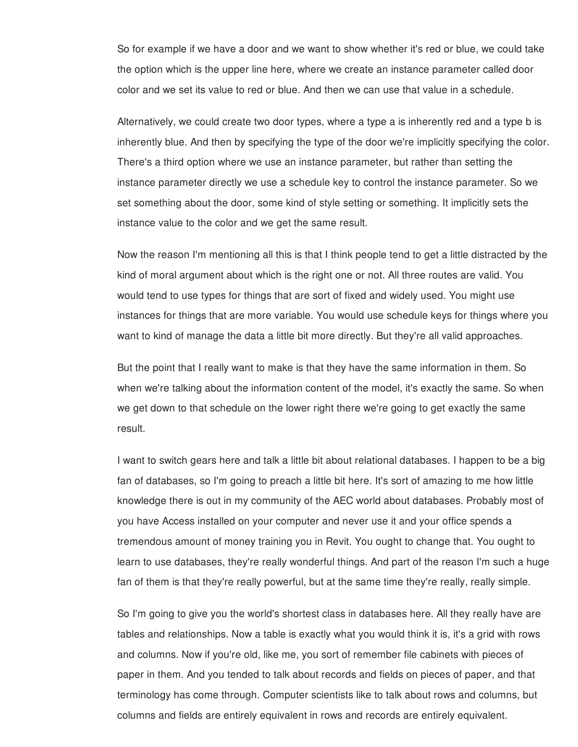So for example if we have a door and we want to show whether it's red or blue, we could take the option which is the upper line here, where we create an instance parameter called door color and we set its value to red or blue. And then we can use that value in a schedule.

Alternatively, we could create two door types, where a type a is inherently red and a type b is inherently blue. And then by specifying the type of the door we're implicitly specifying the color. There's a third option where we use an instance parameter, but rather than setting the instance parameter directly we use a schedule key to control the instance parameter. So we set something about the door, some kind of style setting or something. It implicitly sets the instance value to the color and we get the same result.

Now the reason I'm mentioning all this is that I think people tend to get a little distracted by the kind of moral argument about which is the right one or not. All three routes are valid. You would tend to use types for things that are sort of fixed and widely used. You might use instances for things that are more variable. You would use schedule keys for things where you want to kind of manage the data a little bit more directly. But they're all valid approaches.

But the point that I really want to make is that they have the same information in them. So when we're talking about the information content of the model, it's exactly the same. So when we get down to that schedule on the lower right there we're going to get exactly the same result.

I want to switch gears here and talk a little bit about relational databases. I happen to be a big fan of databases, so I'm going to preach a little bit here. It's sort of amazing to me how little knowledge there is out in my community of the AEC world about databases. Probably most of you have Access installed on your computer and never use it and your office spends a tremendous amount of money training you in Revit. You ought to change that. You ought to learn to use databases, they're really wonderful things. And part of the reason I'm such a huge fan of them is that they're really powerful, but at the same time they're really, really simple.

So I'm going to give you the world's shortest class in databases here. All they really have are tables and relationships. Now a table is exactly what you would think it is, it's a grid with rows and columns. Now if you're old, like me, you sort of remember file cabinets with pieces of paper in them. And you tended to talk about records and fields on pieces of paper, and that terminology has come through. Computer scientists like to talk about rows and columns, but columns and fields are entirely equivalent in rows and records are entirely equivalent.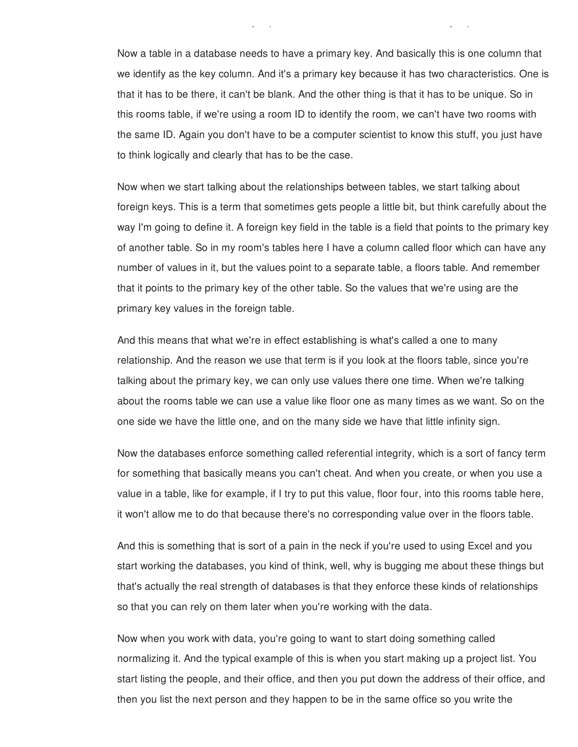Now a table in a database needs to have a primary key. And basically this is one column that we identify as the key column. And it's a primary key because it has two characteristics. One is that it has to be there, it can't be blank. And the other thing is that it has to be unique. So in this rooms table, if we're using a room ID to identify the room, we can't have two rooms with the same ID. Again you don't have to be a computer scientist to know this stuff, you just have to think logically and clearly that has to be the case.

columns and fields are entirely equivalent in rows and records are entirely equivalent.

Now when we start talking about the relationships between tables, we start talking about foreign keys. This is a term that sometimes gets people a little bit, but think carefully about the way I'm going to define it. A foreign key field in the table is a field that points to the primary key of another table. So in my room's tables here I have a column called floor which can have any number of values in it, but the values point to a separate table, a floors table. And remember that it points to the primary key of the other table. So the values that we're using are the primary key values in the foreign table.

And this means that what we're in effect establishing is what's called a one to many relationship. And the reason we use that term is if you look at the floors table, since you're talking about the primary key, we can only use values there one time. When we're talking about the rooms table we can use a value like floor one as many times as we want. So on the one side we have the little one, and on the many side we have that little infinity sign.

Now the databases enforce something called referential integrity, which is a sort of fancy term for something that basically means you can't cheat. And when you create, or when you use a value in a table, like for example, if I try to put this value, floor four, into this rooms table here, it won't allow me to do that because there's no corresponding value over in the floors table.

And this is something that is sort of a pain in the neck if you're used to using Excel and you start working the databases, you kind of think, well, why is bugging me about these things but that's actually the real strength of databases is that they enforce these kinds of relationships so that you can rely on them later when you're working with the data.

Now when you work with data, you're going to want to start doing something called normalizing it. And the typical example of this is when you start making up a project list. You start listing the people, and their office, and then you put down the address of their office, and then you list the next person and they happen to be in the same office so you write the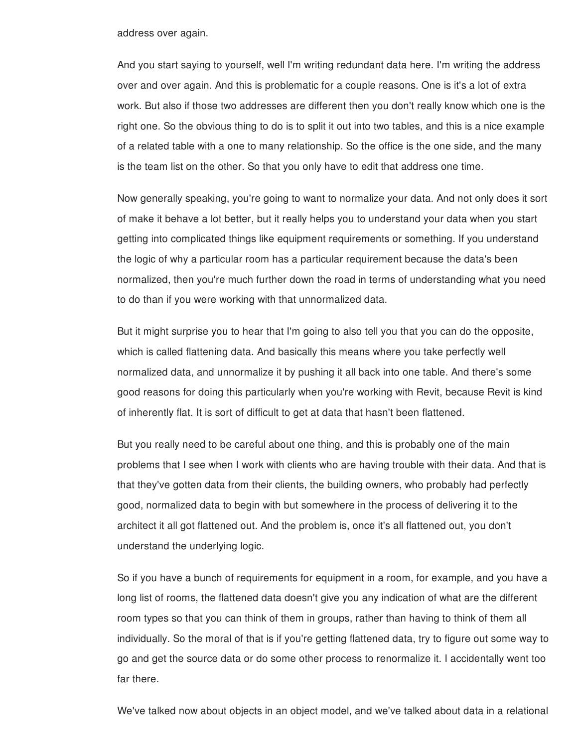address over again.

And you start saying to yourself, well I'm writing redundant data here. I'm writing the address over and over again. And this is problematic for a couple reasons. One is it's a lot of extra work. But also if those two addresses are different then you don't really know which one is the right one. So the obvious thing to do is to split it out into two tables, and this is a nice example of a related table with a one to many relationship. So the office is the one side, and the many is the team list on the other. So that you only have to edit that address one time.

Now generally speaking, you're going to want to normalize your data. And not only does it sort of make it behave a lot better, but it really helps you to understand your data when you start getting into complicated things like equipment requirements or something. If you understand the logic of why a particular room has a particular requirement because the data's been normalized, then you're much further down the road in terms of understanding what you need to do than if you were working with that unnormalized data.

But it might surprise you to hear that I'm going to also tell you that you can do the opposite, which is called flattening data. And basically this means where you take perfectly well normalized data, and unnormalize it by pushing it all back into one table. And there's some good reasons for doing this particularly when you're working with Revit, because Revit is kind of inherently flat. It is sort of difficult to get at data that hasn't been flattened.

But you really need to be careful about one thing, and this is probably one of the main problems that I see when I work with clients who are having trouble with their data. And that is that they've gotten data from their clients, the building owners, who probably had perfectly good, normalized data to begin with but somewhere in the process of delivering it to the architect it all got flattened out. And the problem is, once it's all flattened out, you don't understand the underlying logic.

So if you have a bunch of requirements for equipment in a room, for example, and you have a long list of rooms, the flattened data doesn't give you any indication of what are the different room types so that you can think of them in groups, rather than having to think of them all individually. So the moral of that is if you're getting flattened data, try to figure out some way to go and get the source data or do some other process to renormalize it. I accidentally went too far there.

We've talked now about objects in an object model, and we've talked about data in a relational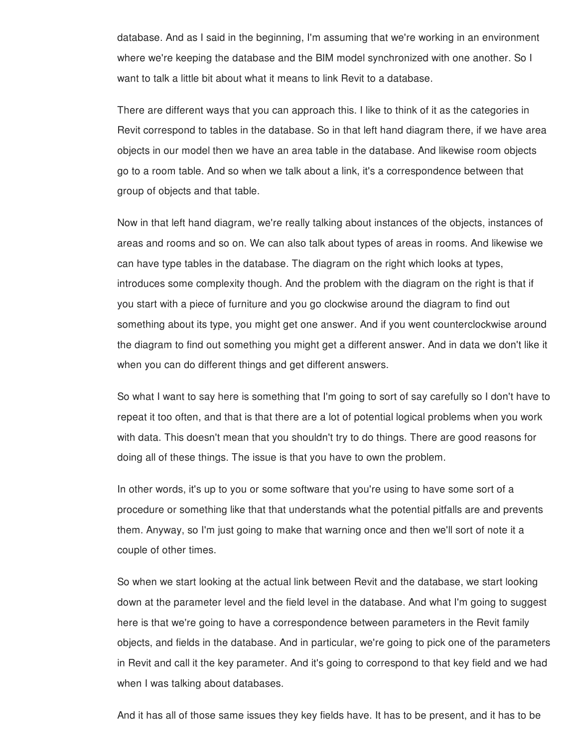database. And as I said in the beginning, I'm assuming that we're working in an environment where we're keeping the database and the BIM model synchronized with one another. So I want to talk a little bit about what it means to link Revit to a database.

There are different ways that you can approach this. I like to think of it as the categories in Revit correspond to tables in the database. So in that left hand diagram there, if we have area objects in our model then we have an area table in the database. And likewise room objects go to a room table. And so when we talk about a link, it's a correspondence between that group of objects and that table.

Now in that left hand diagram, we're really talking about instances of the objects, instances of areas and rooms and so on. We can also talk about types of areas in rooms. And likewise we can have type tables in the database. The diagram on the right which looks at types, introduces some complexity though. And the problem with the diagram on the right is that if you start with a piece of furniture and you go clockwise around the diagram to find out something about its type, you might get one answer. And if you went counterclockwise around the diagram to find out something you might get a different answer. And in data we don't like it when you can do different things and get different answers.

So what I want to say here is something that I'm going to sort of say carefully so I don't have to repeat it too often, and that is that there are a lot of potential logical problems when you work with data. This doesn't mean that you shouldn't try to do things. There are good reasons for doing all of these things. The issue is that you have to own the problem.

In other words, it's up to you or some software that you're using to have some sort of a procedure or something like that that understands what the potential pitfalls are and prevents them. Anyway, so I'm just going to make that warning once and then we'll sort of note it a couple of other times.

So when we start looking at the actual link between Revit and the database, we start looking down at the parameter level and the field level in the database. And what I'm going to suggest here is that we're going to have a correspondence between parameters in the Revit family objects, and fields in the database. And in particular, we're going to pick one of the parameters in Revit and call it the key parameter. And it's going to correspond to that key field and we had when I was talking about databases.

And it has all of those same issues they key fields have. It has to be present, and it has to be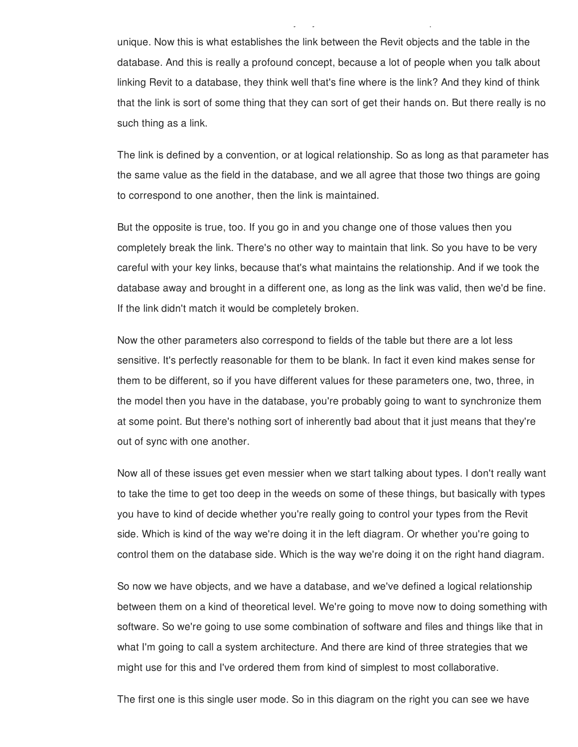unique. Now this is what establishes the link between the Revit objects and the table in the database. And this is really a profound concept, because a lot of people when you talk about linking Revit to a database, they think well that's fine where is the link? And they kind of think that the link is sort of some thing that they can sort of get their hands on. But there really is no such thing as a link.

And it has all of those same issues they key fields have. It has to be present, and it has to be

The link is defined by a convention, or at logical relationship. So as long as that parameter has the same value as the field in the database, and we all agree that those two things are going to correspond to one another, then the link is maintained.

But the opposite is true, too. If you go in and you change one of those values then you completely break the link. There's no other way to maintain that link. So you have to be very careful with your key links, because that's what maintains the relationship. And if we took the database away and brought in a different one, as long as the link was valid, then we'd be fine. If the link didn't match it would be completely broken.

Now the other parameters also correspond to fields of the table but there are a lot less sensitive. It's perfectly reasonable for them to be blank. In fact it even kind makes sense for them to be different, so if you have different values for these parameters one, two, three, in the model then you have in the database, you're probably going to want to synchronize them at some point. But there's nothing sort of inherently bad about that it just means that they're out of sync with one another.

Now all of these issues get even messier when we start talking about types. I don't really want to take the time to get too deep in the weeds on some of these things, but basically with types you have to kind of decide whether you're really going to control your types from the Revit side. Which is kind of the way we're doing it in the left diagram. Or whether you're going to control them on the database side. Which is the way we're doing it on the right hand diagram.

So now we have objects, and we have a database, and we've defined a logical relationship between them on a kind of theoretical level. We're going to move now to doing something with software. So we're going to use some combination of software and files and things like that in what I'm going to call a system architecture. And there are kind of three strategies that we might use for this and I've ordered them from kind of simplest to most collaborative.

The first one is this single user mode. So in this diagram on the right you can see we have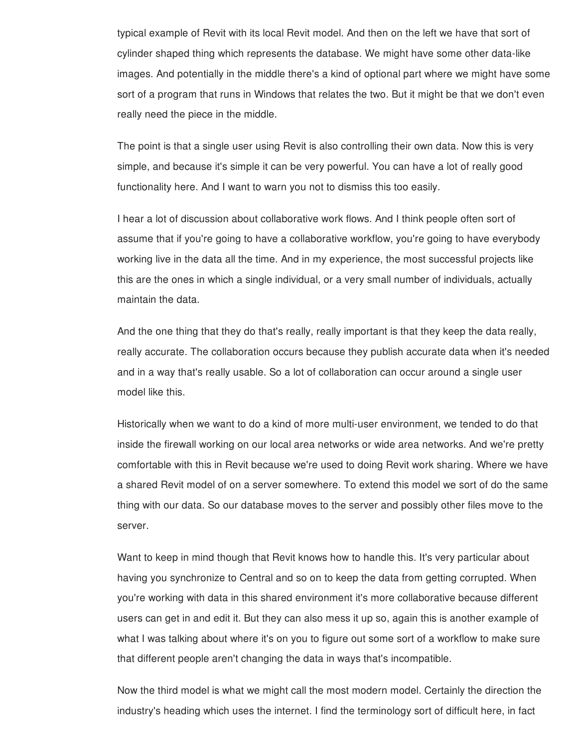typical example of Revit with its local Revit model. And then on the left we have that sort of cylinder shaped thing which represents the database. We might have some other data-like images. And potentially in the middle there's a kind of optional part where we might have some sort of a program that runs in Windows that relates the two. But it might be that we don't even really need the piece in the middle.

The point is that a single user using Revit is also controlling their own data. Now this is very simple, and because it's simple it can be very powerful. You can have a lot of really good functionality here. And I want to warn you not to dismiss this too easily.

I hear a lot of discussion about collaborative work flows. And I think people often sort of assume that if you're going to have a collaborative workflow, you're going to have everybody working live in the data all the time. And in my experience, the most successful projects like this are the ones in which a single individual, or a very small number of individuals, actually maintain the data.

And the one thing that they do that's really, really important is that they keep the data really, really accurate. The collaboration occurs because they publish accurate data when it's needed and in a way that's really usable. So a lot of collaboration can occur around a single user model like this.

Historically when we want to do a kind of more multi-user environment, we tended to do that inside the firewall working on our local area networks or wide area networks. And we're pretty comfortable with this in Revit because we're used to doing Revit work sharing. Where we have a shared Revit model of on a server somewhere. To extend this model we sort of do the same thing with our data. So our database moves to the server and possibly other files move to the server.

Want to keep in mind though that Revit knows how to handle this. It's very particular about having you synchronize to Central and so on to keep the data from getting corrupted. When you're working with data in this shared environment it's more collaborative because different users can get in and edit it. But they can also mess it up so, again this is another example of what I was talking about where it's on you to figure out some sort of a workflow to make sure that different people aren't changing the data in ways that's incompatible.

Now the third model is what we might call the most modern model. Certainly the direction the industry's heading which uses the internet. I find the terminology sort of difficult here, in fact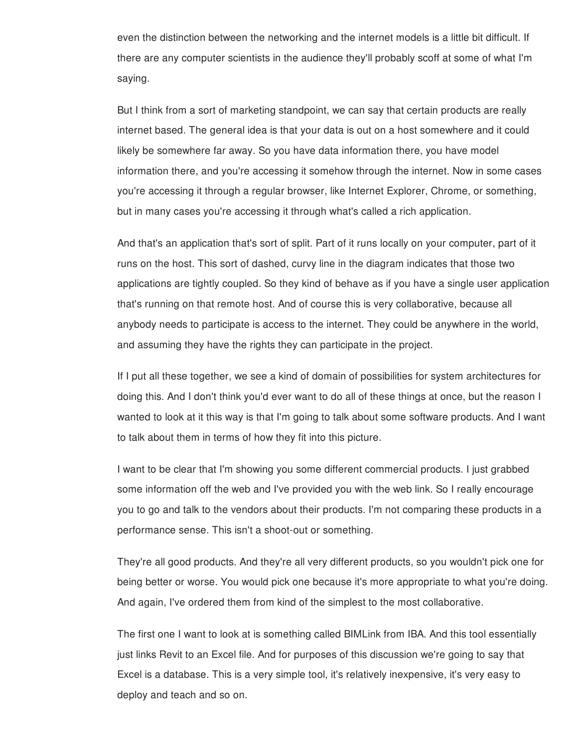even the distinction between the networking and the internet models is a little bit difficult. If there are any computer scientists in the audience they'll probably scoff at some of what I'm saying.

But I think from a sort of marketing standpoint, we can say that certain products are really internet based. The general idea is that your data is out on a host somewhere and it could likely be somewhere far away. So you have data information there, you have model information there, and you're accessing it somehow through the internet. Now in some cases you're accessing it through a regular browser, like Internet Explorer, Chrome, or something, but in many cases you're accessing it through what's called a rich application.

And that's an application that's sort of split. Part of it runs locally on your computer, part of it runs on the host. This sort of dashed, curvy line in the diagram indicates that those two applications are tightly coupled. So they kind of behave as if you have a single user application that's running on that remote host. And of course this is very collaborative, because all anybody needs to participate is access to the internet. They could be anywhere in the world, and assuming they have the rights they can participate in the project.

If I put all these together, we see a kind of domain of possibilities for system architectures for doing this. And I don't think you'd ever want to do all of these things at once, but the reason I wanted to look at it this way is that I'm going to talk about some software products. And I want to talk about them in terms of how they fit into this picture.

I want to be clear that I'm showing you some different commercial products. I just grabbed some information off the web and I've provided you with the web link. So I really encourage you to go and talk to the vendors about their products. I'm not comparing these products in a performance sense. This isn't a shoot-out or something.

They're all good products. And they're all very different products, so you wouldn't pick one for being better or worse. You would pick one because it's more appropriate to what you're doing. And again, I've ordered them from kind of the simplest to the most collaborative.

The first one I want to look at is something called BIMLink from IBA. And this tool essentially just links Revit to an Excel file. And for purposes of this discussion we're going to say that Excel is a database. This is a very simple tool, it's relatively inexpensive, it's very easy to deploy and teach and so on.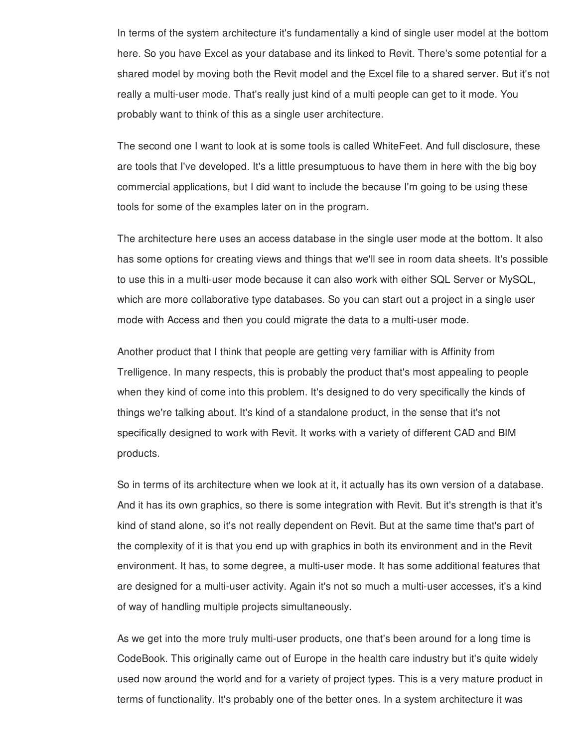In terms of the system architecture it's fundamentally a kind of single user model at the bottom here. So you have Excel as your database and its linked to Revit. There's some potential for a shared model by moving both the Revit model and the Excel file to a shared server. But it's not really a multi-user mode. That's really just kind of a multi people can get to it mode. You probably want to think of this as a single user architecture.

The second one I want to look at is some tools is called WhiteFeet. And full disclosure, these are tools that I've developed. It's a little presumptuous to have them in here with the big boy commercial applications, but I did want to include the because I'm going to be using these tools for some of the examples later on in the program.

The architecture here uses an access database in the single user mode at the bottom. It also has some options for creating views and things that we'll see in room data sheets. It's possible to use this in a multi-user mode because it can also work with either SQL Server or MySQL, which are more collaborative type databases. So you can start out a project in a single user mode with Access and then you could migrate the data to a multi-user mode.

Another product that I think that people are getting very familiar with is Affinity from Trelligence. In many respects, this is probably the product that's most appealing to people when they kind of come into this problem. It's designed to do very specifically the kinds of things we're talking about. It's kind of a standalone product, in the sense that it's not specifically designed to work with Revit. It works with a variety of different CAD and BIM products.

So in terms of its architecture when we look at it, it actually has its own version of a database. And it has its own graphics, so there is some integration with Revit. But it's strength is that it's kind of stand alone, so it's not really dependent on Revit. But at the same time that's part of the complexity of it is that you end up with graphics in both its environment and in the Revit environment. It has, to some degree, a multi-user mode. It has some additional features that are designed for a multi-user activity. Again it's not so much a multi-user accesses, it's a kind of way of handling multiple projects simultaneously.

As we get into the more truly multi-user products, one that's been around for a long time is CodeBook. This originally came out of Europe in the health care industry but it's quite widely used now around the world and for a variety of project types. This is a very mature product in terms of functionality. It's probably one of the better ones. In a system architecture it was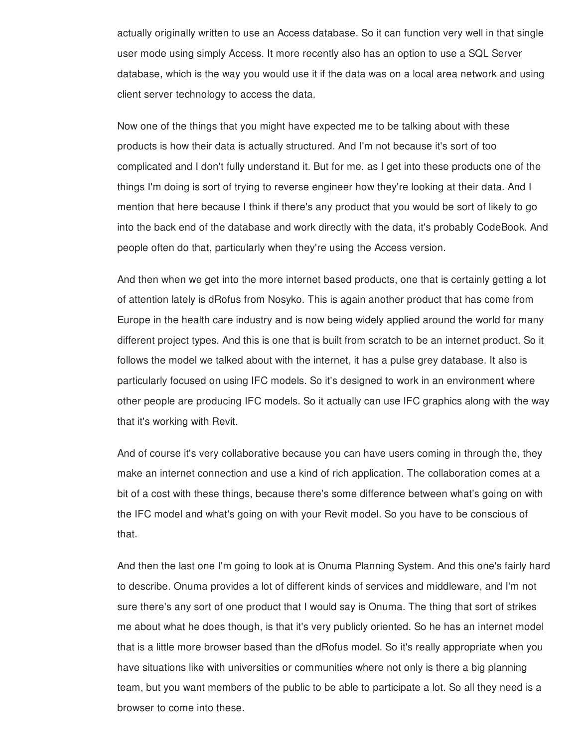actually originally written to use an Access database. So it can function very well in that single user mode using simply Access. It more recently also has an option to use a SQL Server database, which is the way you would use it if the data was on a local area network and using client server technology to access the data.

Now one of the things that you might have expected me to be talking about with these products is how their data is actually structured. And I'm not because it's sort of too complicated and I don't fully understand it. But for me, as I get into these products one of the things I'm doing is sort of trying to reverse engineer how they're looking at their data. And I mention that here because I think if there's any product that you would be sort of likely to go into the back end of the database and work directly with the data, it's probably CodeBook. And people often do that, particularly when they're using the Access version.

And then when we get into the more internet based products, one that is certainly getting a lot of attention lately is dRofus from Nosyko. This is again another product that has come from Europe in the health care industry and is now being widely applied around the world for many different project types. And this is one that is built from scratch to be an internet product. So it follows the model we talked about with the internet, it has a pulse grey database. It also is particularly focused on using IFC models. So it's designed to work in an environment where other people are producing IFC models. So it actually can use IFC graphics along with the way that it's working with Revit.

And of course it's very collaborative because you can have users coming in through the, they make an internet connection and use a kind of rich application. The collaboration comes at a bit of a cost with these things, because there's some difference between what's going on with the IFC model and what's going on with your Revit model. So you have to be conscious of that.

And then the last one I'm going to look at is Onuma Planning System. And this one's fairly hard to describe. Onuma provides a lot of different kinds of services and middleware, and I'm not sure there's any sort of one product that I would say is Onuma. The thing that sort of strikes me about what he does though, is that it's very publicly oriented. So he has an internet model that is a little more browser based than the dRofus model. So it's really appropriate when you have situations like with universities or communities where not only is there a big planning team, but you want members of the public to be able to participate a lot. So all they need is a browser to come into these.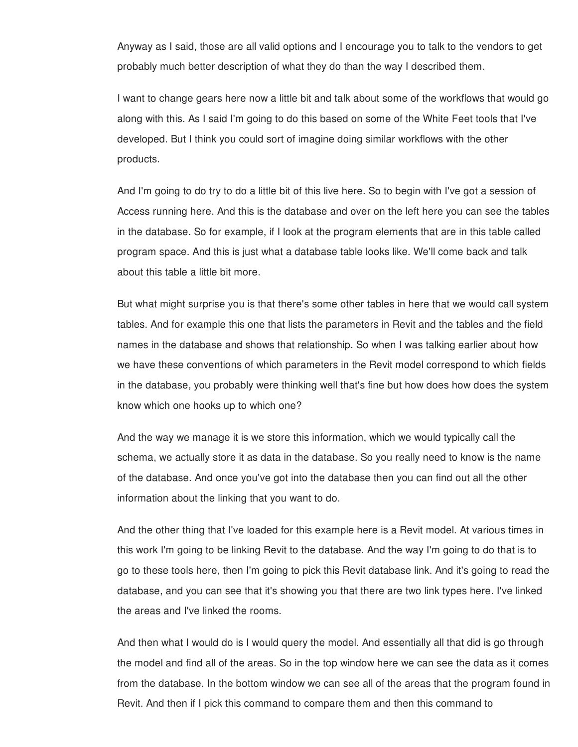Anyway as I said, those are all valid options and I encourage you to talk to the vendors to get probably much better description of what they do than the way I described them.

I want to change gears here now a little bit and talk about some of the workflows that would go along with this. As I said I'm going to do this based on some of the White Feet tools that I've developed. But I think you could sort of imagine doing similar workflows with the other products.

And I'm going to do try to do a little bit of this live here. So to begin with I've got a session of Access running here. And this is the database and over on the left here you can see the tables in the database. So for example, if I look at the program elements that are in this table called program space. And this is just what a database table looks like. We'll come back and talk about this table a little bit more.

But what might surprise you is that there's some other tables in here that we would call system tables. And for example this one that lists the parameters in Revit and the tables and the field names in the database and shows that relationship. So when I was talking earlier about how we have these conventions of which parameters in the Revit model correspond to which fields in the database, you probably were thinking well that's fine but how does how does the system know which one hooks up to which one?

And the way we manage it is we store this information, which we would typically call the schema, we actually store it as data in the database. So you really need to know is the name of the database. And once you've got into the database then you can find out all the other information about the linking that you want to do.

And the other thing that I've loaded for this example here is a Revit model. At various times in this work I'm going to be linking Revit to the database. And the way I'm going to do that is to go to these tools here, then I'm going to pick this Revit database link. And it's going to read the database, and you can see that it's showing you that there are two link types here. I've linked the areas and I've linked the rooms.

And then what I would do is I would query the model. And essentially all that did is go through the model and find all of the areas. So in the top window here we can see the data as it comes from the database. In the bottom window we can see all of the areas that the program found in Revit. And then if I pick this command to compare them and then this command to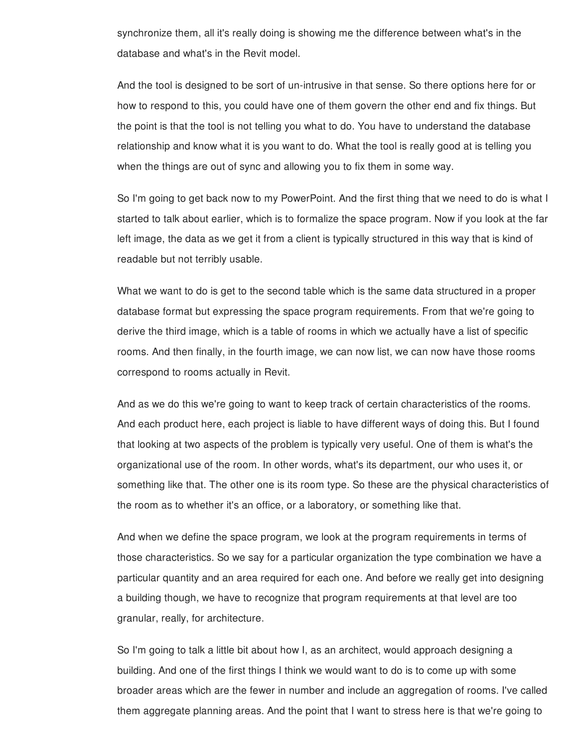synchronize them, all it's really doing is showing me the difference between what's in the database and what's in the Revit model.

And the tool is designed to be sort of un-intrusive in that sense. So there options here for or how to respond to this, you could have one of them govern the other end and fix things. But the point is that the tool is not telling you what to do. You have to understand the database relationship and know what it is you want to do. What the tool is really good at is telling you when the things are out of sync and allowing you to fix them in some way.

So I'm going to get back now to my PowerPoint. And the first thing that we need to do is what I started to talk about earlier, which is to formalize the space program. Now if you look at the far left image, the data as we get it from a client is typically structured in this way that is kind of readable but not terribly usable.

What we want to do is get to the second table which is the same data structured in a proper database format but expressing the space program requirements. From that we're going to derive the third image, which is a table of rooms in which we actually have a list of specific rooms. And then finally, in the fourth image, we can now list, we can now have those rooms correspond to rooms actually in Revit.

And as we do this we're going to want to keep track of certain characteristics of the rooms. And each product here, each project is liable to have different ways of doing this. But I found that looking at two aspects of the problem is typically very useful. One of them is what's the organizational use of the room. In other words, what's its department, our who uses it, or something like that. The other one is its room type. So these are the physical characteristics of the room as to whether it's an office, or a laboratory, or something like that.

And when we define the space program, we look at the program requirements in terms of those characteristics. So we say for a particular organization the type combination we have a particular quantity and an area required for each one. And before we really get into designing a building though, we have to recognize that program requirements at that level are too granular, really, for architecture.

So I'm going to talk a little bit about how I, as an architect, would approach designing a building. And one of the first things I think we would want to do is to come up with some broader areas which are the fewer in number and include an aggregation of rooms. I've called them aggregate planning areas. And the point that I want to stress here is that we're going to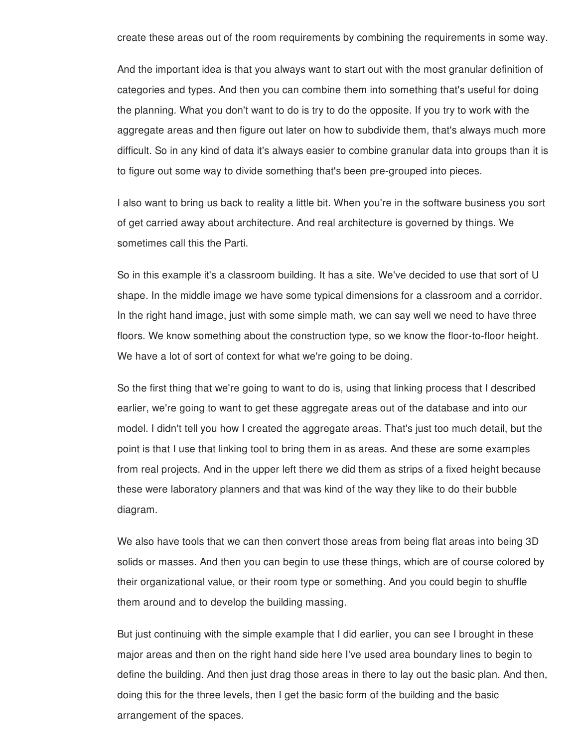create these areas out of the room requirements by combining the requirements in some way.

And the important idea is that you always want to start out with the most granular definition of categories and types. And then you can combine them into something that's useful for doing the planning. What you don't want to do is try to do the opposite. If you try to work with the aggregate areas and then figure out later on how to subdivide them, that's always much more difficult. So in any kind of data it's always easier to combine granular data into groups than it is to figure out some way to divide something that's been pre-grouped into pieces.

I also want to bring us back to reality a little bit. When you're in the software business you sort of get carried away about architecture. And real architecture is governed by things. We sometimes call this the Parti.

So in this example it's a classroom building. It has a site. We've decided to use that sort of U shape. In the middle image we have some typical dimensions for a classroom and a corridor. In the right hand image, just with some simple math, we can say well we need to have three floors. We know something about the construction type, so we know the floor-to-floor height. We have a lot of sort of context for what we're going to be doing.

So the first thing that we're going to want to do is, using that linking process that I described earlier, we're going to want to get these aggregate areas out of the database and into our model. I didn't tell you how I created the aggregate areas. That's just too much detail, but the point is that I use that linking tool to bring them in as areas. And these are some examples from real projects. And in the upper left there we did them as strips of a fixed height because these were laboratory planners and that was kind of the way they like to do their bubble diagram.

We also have tools that we can then convert those areas from being flat areas into being 3D solids or masses. And then you can begin to use these things, which are of course colored by their organizational value, or their room type or something. And you could begin to shuffle them around and to develop the building massing.

But just continuing with the simple example that I did earlier, you can see I brought in these major areas and then on the right hand side here I've used area boundary lines to begin to define the building. And then just drag those areas in there to lay out the basic plan. And then, doing this for the three levels, then I get the basic form of the building and the basic arrangement of the spaces.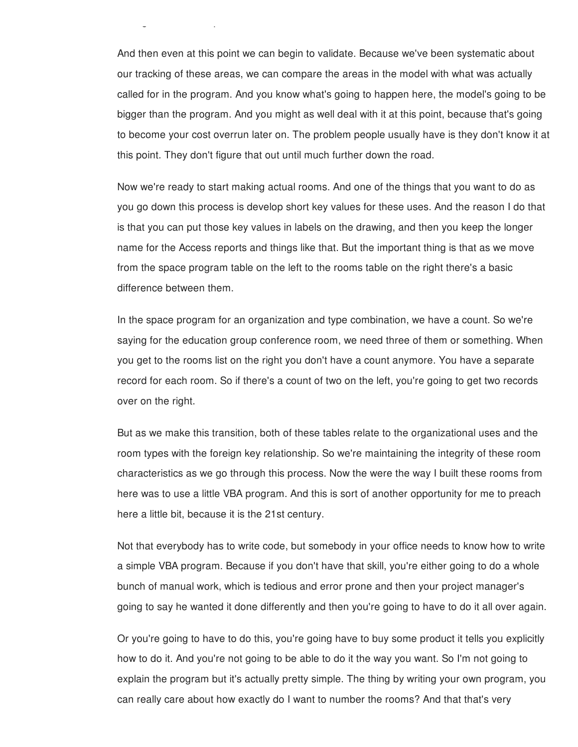And then even at this point we can begin to validate. Because we've been systematic about our tracking of these areas, we can compare the areas in the model with what was actually called for in the program. And you know what's going to happen here, the model's going to be bigger than the program. And you might as well deal with it at this point, because that's going to become your cost overrun later on. The problem people usually have is they don't know it at this point. They don't figure that out until much further down the road.

arrangement of the spaces.

Now we're ready to start making actual rooms. And one of the things that you want to do as you go down this process is develop short key values for these uses. And the reason I do that is that you can put those key values in labels on the drawing, and then you keep the longer name for the Access reports and things like that. But the important thing is that as we move from the space program table on the left to the rooms table on the right there's a basic difference between them.

In the space program for an organization and type combination, we have a count. So we're saying for the education group conference room, we need three of them or something. When you get to the rooms list on the right you don't have a count anymore. You have a separate record for each room. So if there's a count of two on the left, you're going to get two records over on the right.

But as we make this transition, both of these tables relate to the organizational uses and the room types with the foreign key relationship. So we're maintaining the integrity of these room characteristics as we go through this process. Now the were the way I built these rooms from here was to use a little VBA program. And this is sort of another opportunity for me to preach here a little bit, because it is the 21st century.

Not that everybody has to write code, but somebody in your office needs to know how to write a simple VBA program. Because if you don't have that skill, you're either going to do a whole bunch of manual work, which is tedious and error prone and then your project manager's going to say he wanted it done differently and then you're going to have to do it all over again.

Or you're going to have to do this, you're going have to buy some product it tells you explicitly how to do it. And you're not going to be able to do it the way you want. So I'm not going to explain the program but it's actually pretty simple. The thing by writing your own program, you can really care about how exactly do I want to number the rooms? And that that's very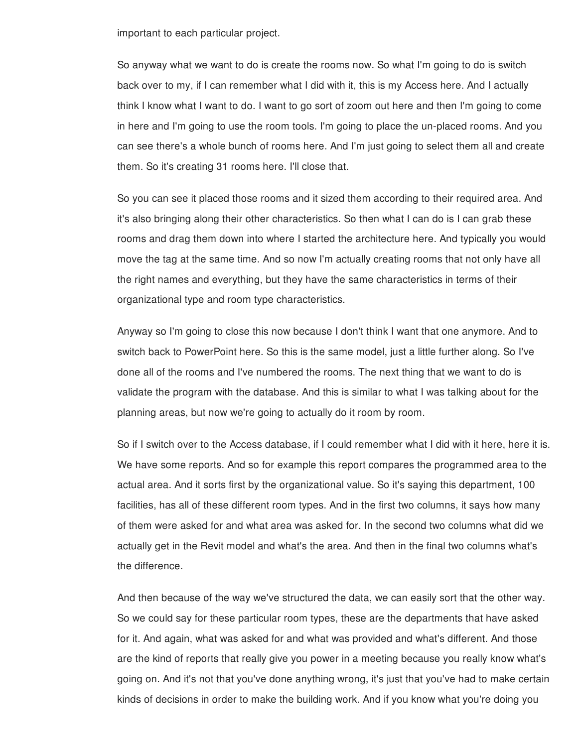important to each particular project.

So anyway what we want to do is create the rooms now. So what I'm going to do is switch back over to my, if I can remember what I did with it, this is my Access here. And I actually think I know what I want to do. I want to go sort of zoom out here and then I'm going to come in here and I'm going to use the room tools. I'm going to place the un-placed rooms. And you can see there's a whole bunch of rooms here. And I'm just going to select them all and create them. So it's creating 31 rooms here. I'll close that.

So you can see it placed those rooms and it sized them according to their required area. And it's also bringing along their other characteristics. So then what I can do is I can grab these rooms and drag them down into where I started the architecture here. And typically you would move the tag at the same time. And so now I'm actually creating rooms that not only have all the right names and everything, but they have the same characteristics in terms of their organizational type and room type characteristics.

Anyway so I'm going to close this now because I don't think I want that one anymore. And to switch back to PowerPoint here. So this is the same model, just a little further along. So I've done all of the rooms and I've numbered the rooms. The next thing that we want to do is validate the program with the database. And this is similar to what I was talking about for the planning areas, but now we're going to actually do it room by room.

So if I switch over to the Access database, if I could remember what I did with it here, here it is. We have some reports. And so for example this report compares the programmed area to the actual area. And it sorts first by the organizational value. So it's saying this department, 100 facilities, has all of these different room types. And in the first two columns, it says how many of them were asked for and what area was asked for. In the second two columns what did we actually get in the Revit model and what's the area. And then in the final two columns what's the difference.

And then because of the way we've structured the data, we can easily sort that the other way. So we could say for these particular room types, these are the departments that have asked for it. And again, what was asked for and what was provided and what's different. And those are the kind of reports that really give you power in a meeting because you really know what's going on. And it's not that you've done anything wrong, it's just that you've had to make certain kinds of decisions in order to make the building work. And if you know what you're doing you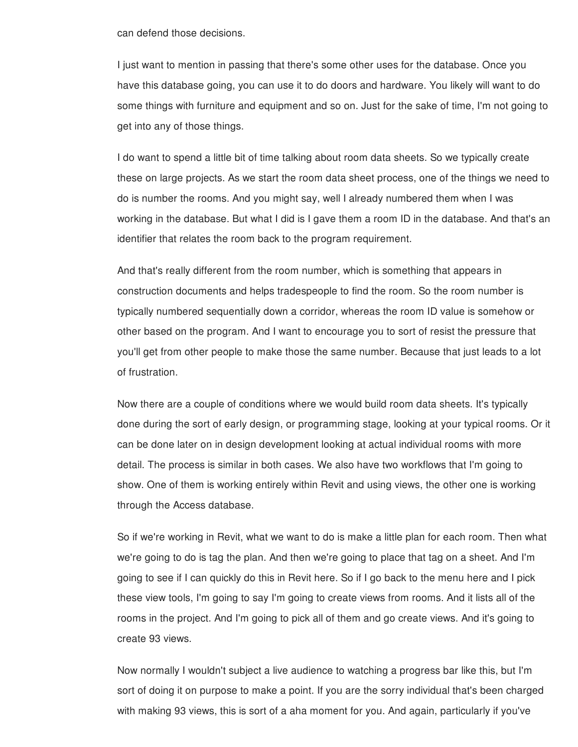can defend those decisions.

I just want to mention in passing that there's some other uses for the database. Once you have this database going, you can use it to do doors and hardware. You likely will want to do some things with furniture and equipment and so on. Just for the sake of time, I'm not going to get into any of those things.

I do want to spend a little bit of time talking about room data sheets. So we typically create these on large projects. As we start the room data sheet process, one of the things we need to do is number the rooms. And you might say, well I already numbered them when I was working in the database. But what I did is I gave them a room ID in the database. And that's an identifier that relates the room back to the program requirement.

And that's really different from the room number, which is something that appears in construction documents and helps tradespeople to find the room. So the room number is typically numbered sequentially down a corridor, whereas the room ID value is somehow or other based on the program. And I want to encourage you to sort of resist the pressure that you'll get from other people to make those the same number. Because that just leads to a lot of frustration.

Now there are a couple of conditions where we would build room data sheets. It's typically done during the sort of early design, or programming stage, looking at your typical rooms. Or it can be done later on in design development looking at actual individual rooms with more detail. The process is similar in both cases. We also have two workflows that I'm going to show. One of them is working entirely within Revit and using views, the other one is working through the Access database.

So if we're working in Revit, what we want to do is make a little plan for each room. Then what we're going to do is tag the plan. And then we're going to place that tag on a sheet. And I'm going to see if I can quickly do this in Revit here. So if I go back to the menu here and I pick these view tools, I'm going to say I'm going to create views from rooms. And it lists all of the rooms in the project. And I'm going to pick all of them and go create views. And it's going to create 93 views.

Now normally I wouldn't subject a live audience to watching a progress bar like this, but I'm sort of doing it on purpose to make a point. If you are the sorry individual that's been charged with making 93 views, this is sort of a aha moment for you. And again, particularly if you've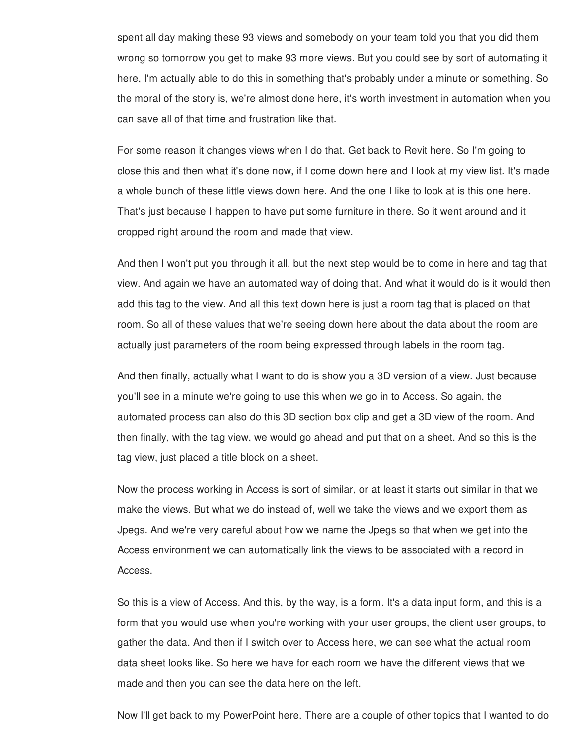spent all day making these 93 views and somebody on your team told you that you did them wrong so tomorrow you get to make 93 more views. But you could see by sort of automating it here, I'm actually able to do this in something that's probably under a minute or something. So the moral of the story is, we're almost done here, it's worth investment in automation when you can save all of that time and frustration like that.

For some reason it changes views when I do that. Get back to Revit here. So I'm going to close this and then what it's done now, if I come down here and I look at my view list. It's made a whole bunch of these little views down here. And the one I like to look at is this one here. That's just because I happen to have put some furniture in there. So it went around and it cropped right around the room and made that view.

And then I won't put you through it all, but the next step would be to come in here and tag that view. And again we have an automated way of doing that. And what it would do is it would then add this tag to the view. And all this text down here is just a room tag that is placed on that room. So all of these values that we're seeing down here about the data about the room are actually just parameters of the room being expressed through labels in the room tag.

And then finally, actually what I want to do is show you a 3D version of a view. Just because you'll see in a minute we're going to use this when we go in to Access. So again, the automated process can also do this 3D section box clip and get a 3D view of the room. And then finally, with the tag view, we would go ahead and put that on a sheet. And so this is the tag view, just placed a title block on a sheet.

Now the process working in Access is sort of similar, or at least it starts out similar in that we make the views. But what we do instead of, well we take the views and we export them as Jpegs. And we're very careful about how we name the Jpegs so that when we get into the Access environment we can automatically link the views to be associated with a record in Access.

So this is a view of Access. And this, by the way, is a form. It's a data input form, and this is a form that you would use when you're working with your user groups, the client user groups, to gather the data. And then if I switch over to Access here, we can see what the actual room data sheet looks like. So here we have for each room we have the different views that we made and then you can see the data here on the left.

Now I'll get back to my PowerPoint here. There are a couple of other topics that I wanted to do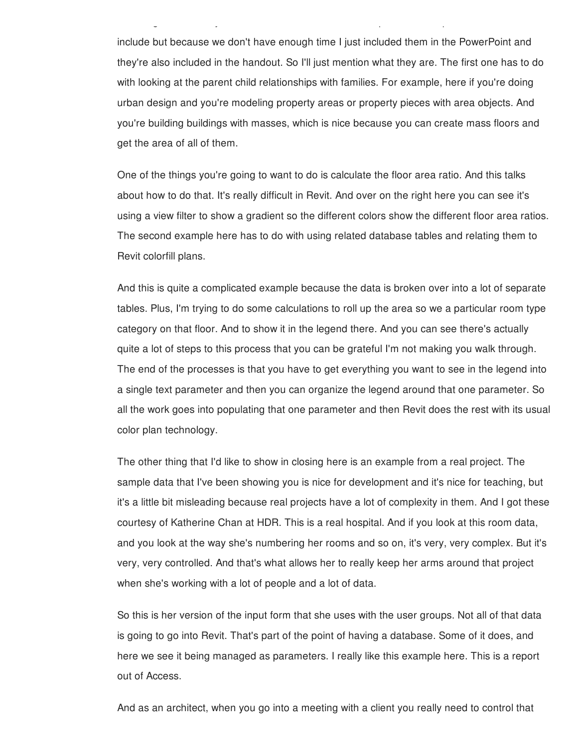include but because we don't have enough time I just included them in the PowerPoint and they're also included in the handout. So I'll just mention what they are. The first one has to do with looking at the parent child relationships with families. For example, here if you're doing urban design and you're modeling property areas or property pieces with area objects. And you're building buildings with masses, which is nice because you can create mass floors and get the area of all of them.

Now I'll get back to my PowerPoint here. There are a couple of other topics that I wanted to do

One of the things you're going to want to do is calculate the floor area ratio. And this talks about how to do that. It's really difficult in Revit. And over on the right here you can see it's using a view filter to show a gradient so the different colors show the different floor area ratios. The second example here has to do with using related database tables and relating them to Revit colorfill plans.

And this is quite a complicated example because the data is broken over into a lot of separate tables. Plus, I'm trying to do some calculations to roll up the area so we a particular room type category on that floor. And to show it in the legend there. And you can see there's actually quite a lot of steps to this process that you can be grateful I'm not making you walk through. The end of the processes is that you have to get everything you want to see in the legend into a single text parameter and then you can organize the legend around that one parameter. So all the work goes into populating that one parameter and then Revit does the rest with its usual color plan technology.

The other thing that I'd like to show in closing here is an example from a real project. The sample data that I've been showing you is nice for development and it's nice for teaching, but it's a little bit misleading because real projects have a lot of complexity in them. And I got these courtesy of Katherine Chan at HDR. This is a real hospital. And if you look at this room data, and you look at the way she's numbering her rooms and so on, it's very, very complex. But it's very, very controlled. And that's what allows her to really keep her arms around that project when she's working with a lot of people and a lot of data.

So this is her version of the input form that she uses with the user groups. Not all of that data is going to go into Revit. That's part of the point of having a database. Some of it does, and here we see it being managed as parameters. I really like this example here. This is a report out of Access.

And as an architect, when you go into a meeting with a client you really need to control that